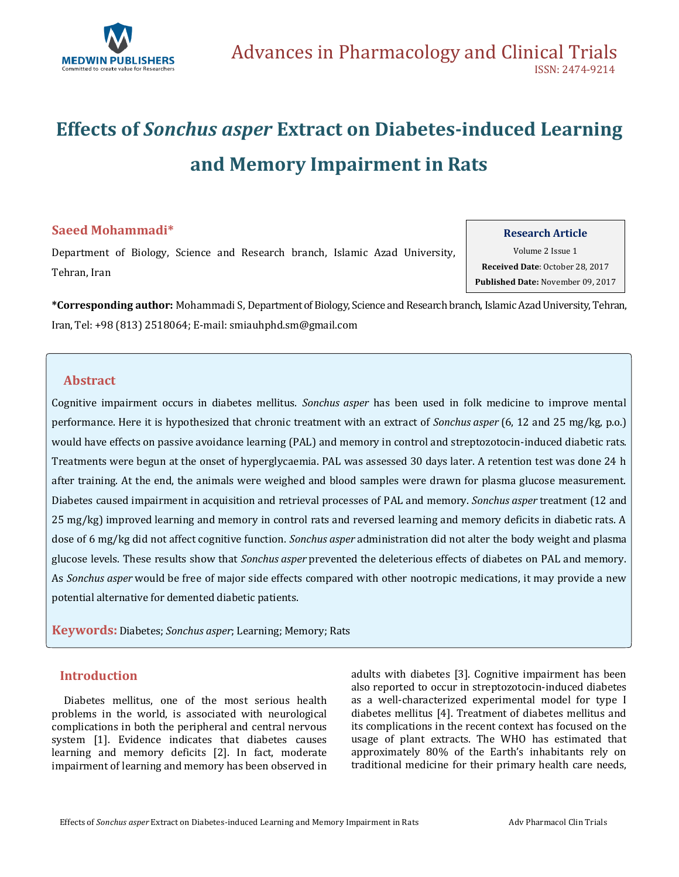

# **Effects of** *Sonchus asper* **Extract on Diabetes-induced Learning and Memory Impairment in Rats**

# **Saeed Mohammadi\***

Department of Biology, Science and Research branch, Islamic Azad University, Tehran, Iran

**Research Article**

Volume 2 Issue 1 **Received Date**: October 28, 2017 **Published Date:** November 09, 2017

**\*Corresponding author:** Mohammadi S, Department of Biology, Science and Research branch, Islamic Azad University, Tehran, Iran, Tel: +98 (813) 2518064; E-mail[: smiauhphd.sm@gmail.com](mailto:smiauhphd.sm@gmail.com)

# **Abstract**

Cognitive impairment occurs in diabetes mellitus. *Sonchus asper* has been used in folk medicine to improve mental performance. Here it is hypothesized that chronic treatment with an extract of *Sonchus asper* (6, 12 and 25 mg/kg, p.o.) would have effects on passive avoidance learning (PAL) and memory in control and streptozotocin-induced diabetic rats. Treatments were begun at the onset of hyperglycaemia. PAL was assessed 30 days later. A retention test was done 24 h after training. At the end, the animals were weighed and blood samples were drawn for plasma glucose measurement. Diabetes caused impairment in acquisition and retrieval processes of PAL and memory. *Sonchus asper* treatment (12 and 25 mg/kg) improved learning and memory in control rats and reversed learning and memory deficits in diabetic rats. A dose of 6 mg/kg did not affect cognitive function. *Sonchus asper* administration did not alter the body weight and plasma glucose levels. These results show that *Sonchus asper* prevented the deleterious effects of diabetes on PAL and memory. As *Sonchus asper* would be free of major side effects compared with other nootropic medications, it may provide a new potential alternative for demented diabetic patients.

**Keywords:** Diabetes; *Sonchus asper*; Learning; Memory; Rats

# **Introduction**

 Diabetes mellitus, one of the most serious health problems in the world, is associated with neurological complications in both the peripheral and central nervous system [1]. Evidence indicates that diabetes causes learning and memory deficits [2]. In fact, moderate impairment of learning and memory has been observed in adults with diabetes [3]. Cognitive impairment has been also reported to occur in streptozotocin-induced diabetes as a well-characterized experimental model for type I diabetes mellitus [4]. Treatment of diabetes mellitus and its complications in the recent context has focused on the usage of plant extracts. The WHO has estimated that approximately 80% of the Earth's inhabitants rely on traditional medicine for their primary health care needs,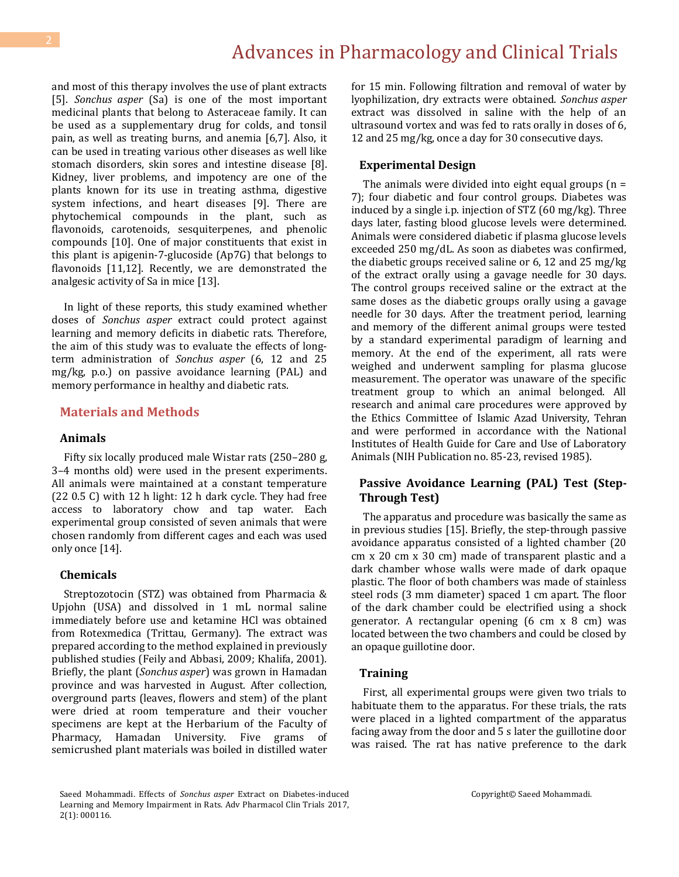and most of this therapy involves the use of plant extracts [5]. *Sonchus asper* (Sa) is one of the most important medicinal plants that belong to Asteraceae family. It can be used as a supplementary drug for colds, and tonsil pain, as well as treating burns, and anemia [6,7]. Also, it can be used in treating various other diseases as well like stomach disorders, skin sores and intestine disease [8]. Kidney, liver problems, and impotency are one of the plants known for its use in treating asthma, digestive system infections, and heart diseases [9]. There are phytochemical compounds in the plant, such as flavonoids, carotenoids, sesquiterpenes, and phenolic compounds [10]. One of major constituents that exist in this plant is apigenin-7-glucoside (Ap7G) that belongs to flavonoids [11,12]. Recently, we are demonstrated the analgesic activity of Sa in mice [13].

 In light of these reports, this study examined whether doses of *Sonchus asper* extract could protect against learning and memory deficits in diabetic rats. Therefore, the aim of this study was to evaluate the effects of longterm administration of *Sonchus asper* (6, 12 and 25 mg/kg, p.o.) on passive avoidance learning (PAL) and memory performance in healthy and diabetic rats.

#### **Materials and Methods**

### **Animals**

 Fifty six locally produced male Wistar rats (250–280 g, 3–4 months old) were used in the present experiments. All animals were maintained at a constant temperature (22 0.5 C) with 12 h light: 12 h dark cycle. They had free access to laboratory chow and tap water. Each experimental group consisted of seven animals that were chosen randomly from different cages and each was used only once [14].

#### **Chemicals**

 Streptozotocin (STZ) was obtained from Pharmacia & Upjohn (USA) and dissolved in 1 mL normal saline immediately before use and ketamine HCl was obtained from Rotexmedica (Trittau, Germany). The extract was prepared according to the method explained in previously published studies (Feily and Abbasi, 2009; Khalifa, 2001). Briefly, the plant (*Sonchus asper*) was grown in Hamadan province and was harvested in August. After collection, overground parts (leaves, flowers and stem) of the plant were dried at room temperature and their voucher specimens are kept at the Herbarium of the Faculty of Pharmacy, Hamadan University. Five grams of semicrushed plant materials was boiled in distilled water

for 15 min. Following filtration and removal of water by lyophilization, dry extracts were obtained. *Sonchus asper*  extract was dissolved in saline with the help of an ultrasound vortex and was fed to rats orally in doses of 6, 12 and 25 mg/kg, once a day for 30 consecutive days.

#### **Experimental Design**

The animals were divided into eight equal groups  $(n =$ 7); four diabetic and four control groups. Diabetes was induced by a single i.p. injection of STZ (60 mg/kg). Three days later, fasting blood glucose levels were determined. Animals were considered diabetic if plasma glucose levels exceeded 250 mg/dL. As soon as diabetes was confirmed, the diabetic groups received saline or 6, 12 and 25 mg/kg of the extract orally using a gavage needle for 30 days. The control groups received saline or the extract at the same doses as the diabetic groups orally using a gavage needle for 30 days. After the treatment period, learning and memory of the different animal groups were tested by a standard experimental paradigm of learning and memory. At the end of the experiment, all rats were weighed and underwent sampling for plasma glucose measurement. The operator was unaware of the specific treatment group to which an animal belonged. All research and animal care procedures were approved by the Ethics Committee of Islamic Azad University, Tehran and were performed in accordance with the National Institutes of Health Guide for Care and Use of Laboratory Animals (NIH Publication no. 85-23, revised 1985).

## **Passive Avoidance Learning (PAL) Test (Step-Through Test)**

 The apparatus and procedure was basically the same as in previous studies [15]. Briefly, the step-through passive avoidance apparatus consisted of a lighted chamber (20 cm x 20 cm x 30 cm) made of transparent plastic and a dark chamber whose walls were made of dark opaque plastic. The floor of both chambers was made of stainless steel rods (3 mm diameter) spaced 1 cm apart. The floor of the dark chamber could be electrified using a shock generator. A rectangular opening (6 cm x 8 cm) was located between the two chambers and could be closed by an opaque guillotine door.

#### **Training**

 First, all experimental groups were given two trials to habituate them to the apparatus. For these trials, the rats were placed in a lighted compartment of the apparatus facing away from the door and 5 s later the guillotine door was raised. The rat has native preference to the dark

Saeed Mohammadi. Effects of *Sonchus asper* Extract on Diabetes-induced Learning and Memory Impairment in Rats. Adv Pharmacol Clin Trials 2017, 2(1): 000116.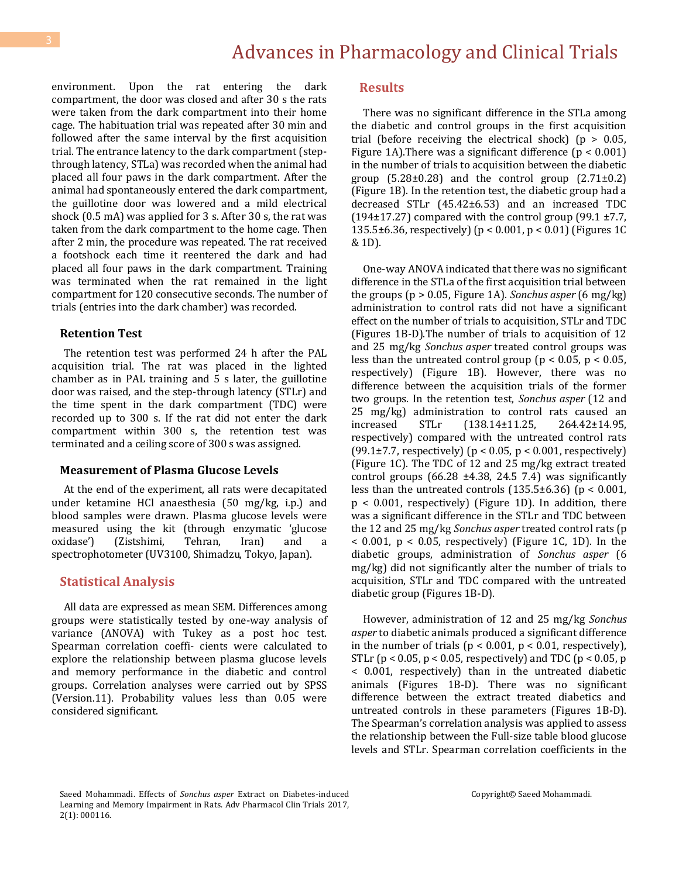environment. Upon the rat entering the dark compartment, the door was closed and after 30 s the rats were taken from the dark compartment into their home cage. The habituation trial was repeated after 30 min and followed after the same interval by the first acquisition trial. The entrance latency to the dark compartment (stepthrough latency, STLa) was recorded when the animal had placed all four paws in the dark compartment. After the animal had spontaneously entered the dark compartment, the guillotine door was lowered and a mild electrical shock (0.5 mA) was applied for 3 s. After 30 s, the rat was taken from the dark compartment to the home cage. Then after 2 min, the procedure was repeated. The rat received a footshock each time it reentered the dark and had placed all four paws in the dark compartment. Training was terminated when the rat remained in the light compartment for 120 consecutive seconds. The number of trials (entries into the dark chamber) was recorded.

#### **Retention Test**

 The retention test was performed 24 h after the PAL acquisition trial. The rat was placed in the lighted chamber as in PAL training and 5 s later, the guillotine door was raised, and the step-through latency (STLr) and the time spent in the dark compartment (TDC) were recorded up to 300 s. If the rat did not enter the dark compartment within 300 s, the retention test was terminated and a ceiling score of 300 s was assigned.

#### **Measurement of Plasma Glucose Levels**

 At the end of the experiment, all rats were decapitated under ketamine HCl anaesthesia (50 mg/kg, i.p.) and blood samples were drawn. Plasma glucose levels were measured using the kit (through enzymatic 'glucose oxidase') (Zistshimi, Tehran, Iran) and a spectrophotometer (UV3100, Shimadzu, Tokyo, Japan).

#### **Statistical Analysis**

 All data are expressed as mean SEM. Differences among groups were statistically tested by one-way analysis of variance (ANOVA) with Tukey as a post hoc test. Spearman correlation coeffi- cients were calculated to explore the relationship between plasma glucose levels and memory performance in the diabetic and control groups. Correlation analyses were carried out by SPSS (Version.11). Probability values less than 0.05 were considered significant.

#### **Results**

 There was no significant difference in the STLa among the diabetic and control groups in the first acquisition trial (before receiving the electrical shock) ( $p > 0.05$ , Figure 1A). There was a significant difference  $(p < 0.001)$ in the number of trials to acquisition between the diabetic group  $(5.28\pm0.28)$  and the control group  $(2.71\pm0.2)$ (Figure 1B). In the retention test, the diabetic group had a decreased STLr (45.42±6.53) and an increased TDC (194 $\pm$ 17.27) compared with the control group (99.1  $\pm$ 7.7, 135.5±6.36, respectively) (p < 0.001, p < 0.01) (Figures 1C & 1D).

 One-way ANOVA indicated that there was no significant difference in the STLa of the first acquisition trial between the groups (p > 0.05, Figure 1A). *Sonchus asper* (6 mg/kg) administration to control rats did not have a significant effect on the number of trials to acquisition, STLr and TDC (Figures 1B-D).The number of trials to acquisition of 12 and 25 mg/kg *Sonchus asper* treated control groups was less than the untreated control group ( $p < 0.05$ ,  $p < 0.05$ , respectively) (Figure 1B). However, there was no difference between the acquisition trials of the former two groups. In the retention test, *Sonchus asper* (12 and 25 mg/kg) administration to control rats caused an increased STLr (138.14±11.25, 264.42±14.95, respectively) compared with the untreated control rats (99.1 $\pm$ 7.7, respectively) (p < 0.05, p < 0.001, respectively) (Figure 1C). The TDC of 12 and 25 mg/kg extract treated control groups  $(66.28 \pm 4.38, 24.5, 7.4)$  was significantly less than the untreated controls  $(135.5\pm6.36)$  (p < 0.001, p < 0.001, respectively) (Figure 1D). In addition, there was a significant difference in the STLr and TDC between the 12 and 25 mg/kg *Sonchus asper* treated control rats (p  $<$  0.001,  $p <$  0.05, respectively) (Figure 1C, 1D). In the diabetic groups, administration of *Sonchus asper* (6 mg/kg) did not significantly alter the number of trials to acquisition, STLr and TDC compared with the untreated diabetic group (Figures 1B-D).

 However, administration of 12 and 25 mg/kg *Sonchus asper* to diabetic animals produced a significant difference in the number of trials ( $p < 0.001$ ,  $p < 0.01$ , respectively), STLr ( $p < 0.05$ ,  $p < 0.05$ , respectively) and TDC ( $p < 0.05$ ,  $p$ < 0.001, respectively) than in the untreated diabetic animals (Figures 1B-D). There was no significant difference between the extract treated diabetics and untreated controls in these parameters (Figures 1B-D). The Spearman's correlation analysis was applied to assess the relationship between the Full-size table blood glucose levels and STLr. Spearman correlation coefficients in the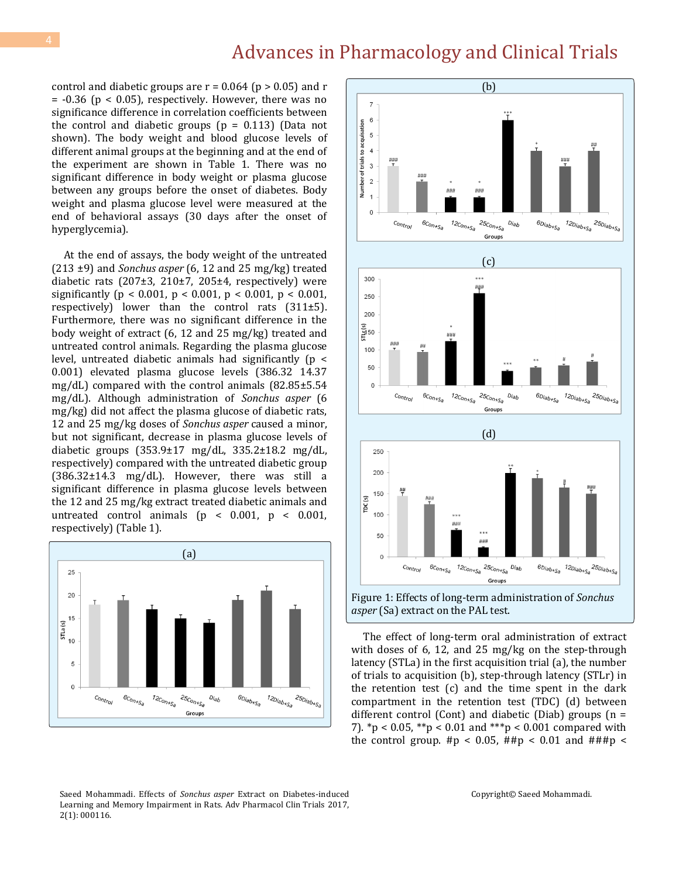control and diabetic groups are  $r = 0.064$  ( $p > 0.05$ ) and r  $= -0.36$  ( $p < 0.05$ ), respectively. However, there was no significance difference in correlation coefficients between the control and diabetic groups  $(p = 0.113)$  (Data not shown). The body weight and blood glucose levels of different animal groups at the beginning and at the end of the experiment are shown in Table 1. There was no significant difference in body weight or plasma glucose between any groups before the onset of diabetes. Body weight and plasma glucose level were measured at the end of behavioral assays (30 days after the onset of hyperglycemia).

 At the end of assays, the body weight of the untreated (213 ±9) and *Sonchus asper* (6, 12 and 25 mg/kg) treated diabetic rats (207 $\pm$ 3, 210 $\pm$ 7, 205 $\pm$ 4, respectively) were significantly ( $p < 0.001$ ,  $p < 0.001$ ,  $p < 0.001$ ,  $p < 0.001$ , respectively) lower than the control rats  $(311±5)$ . Furthermore, there was no significant difference in the body weight of extract (6, 12 and 25 mg/kg) treated and untreated control animals. Regarding the plasma glucose level, untreated diabetic animals had significantly (p < 0.001) elevated plasma glucose levels (386.32 14.37 mg/dL) compared with the control animals (82.85±5.54 mg/dL). Although administration of *Sonchus asper* (6 mg/kg) did not affect the plasma glucose of diabetic rats, 12 and 25 mg/kg doses of *Sonchus asper* caused a minor, but not significant, decrease in plasma glucose levels of diabetic groups (353.9±17 mg/dL, 335.2±18.2 mg/dL, respectively) compared with the untreated diabetic group  $(386.32 \pm 14.3 \text{ mg/dL})$ . However, there was still a significant difference in plasma glucose levels between the 12 and 25 mg/kg extract treated diabetic animals and untreated control animals ( $p < 0.001$ ,  $p < 0.001$ , respectively) (Table 1).





 The effect of long-term oral administration of extract with doses of 6, 12, and 25 mg/kg on the step-through latency (STLa) in the first acquisition trial (a), the number of trials to acquisition (b), step-through latency (STLr) in the retention test (c) and the time spent in the dark compartment in the retention test (TDC) (d) between different control (Cont) and diabetic (Diab) groups ( $n =$ 7). \*p < 0.05, \*\*p < 0.01 and \*\*\*p < 0.001 compared with the control group.  $\#p < 0.05$ ,  $\# \#p < 0.01$  and  $\# \# \#p <$ 

Saeed Mohammadi. Effects of *Sonchus asper* Extract on Diabetes-induced Learning and Memory Impairment in Rats. Adv Pharmacol Clin Trials 2017, 2(1): 000116.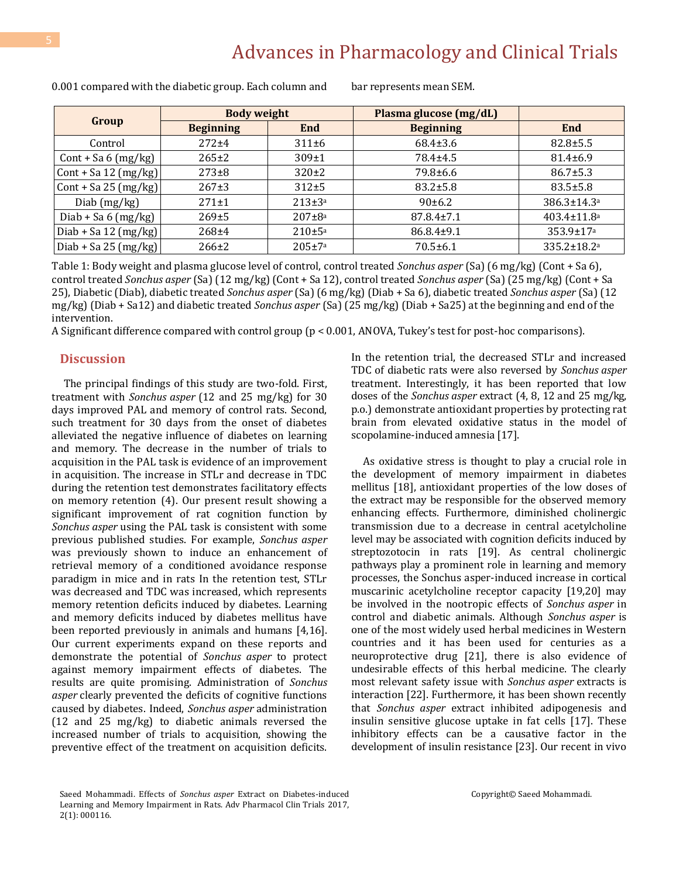| Group                           | <b>Body weight</b> |               | Plasma glucose (mg/dL) |                               |
|---------------------------------|--------------------|---------------|------------------------|-------------------------------|
|                                 | <b>Beginning</b>   | End           | <b>Beginning</b>       | End                           |
| Control                         | $272 + 4$          | 311±6         | $68.4 \pm 3.6$         | $82.8 \pm 5.5$                |
| $Cont + Sa 6 (mg/kg)$           | $265 \pm 2$        | $309 \pm 1$   | 78.4±4.5               | 81.4±6.9                      |
| Cont + Sa 12 (mg/kg)            | $273+8$            | $320 \pm 2$   | 79.8±6.6               | $86.7 \pm 5.3$                |
| Cont + Sa 25 $(mg/kg)$          | $267+3$            | $312+5$       | $83.2 \pm 5.8$         | $83.5 \pm 5.8$                |
| Diab (mg/kg)                    | $271 \pm 1$        | $213 \pm 3^a$ | $90 \pm 6.2$           | 386.3±14.3 <sup>a</sup>       |
| Diab + Sa $6 \, \text{(mg/kg)}$ | 269±5              | $207 + 8a$    | 87.8.4±7.1             | $403.4 \pm 11.8$ <sup>a</sup> |
| Diab + Sa 12 (mg/kg)            | $268 + 4$          | $210 \pm 5a$  | 86.8.4±9.1             | $353.9 \pm 17$ <sup>a</sup>   |
| Diab + Sa 25 $(mg/kg)$          | $266 \pm 2$        | $205 \pm 7a$  | $70.5 \pm 6.1$         | 335.2±18.2 <sup>a</sup>       |

0.001 compared with the diabetic group. Each column and bar represents mean SEM.

Table 1: Body weight and plasma glucose level of control, control treated *Sonchus asper* (Sa) (6 mg/kg) (Cont + Sa 6), control treated *Sonchus asper* (Sa) (12 mg/kg) (Cont + Sa 12), control treated *Sonchus asper* (Sa) (25 mg/kg) (Cont + Sa 25), Diabetic (Diab), diabetic treated *Sonchus asper* (Sa) (6 mg/kg) (Diab + Sa 6), diabetic treated *Sonchus asper* (Sa) (12 mg/kg) (Diab + Sa12) and diabetic treated *Sonchus asper* (Sa) (25 mg/kg) (Diab + Sa25) at the beginning and end of the intervention.

A Significant difference compared with control group (p < 0.001, ANOVA, Tukey's test for post-hoc comparisons).

# **Discussion**

 The principal findings of this study are two-fold. First, treatment with *Sonchus asper* (12 and 25 mg/kg) for 30 days improved PAL and memory of control rats. Second, such treatment for 30 days from the onset of diabetes alleviated the negative influence of diabetes on learning and memory. The decrease in the number of trials to acquisition in the PAL task is evidence of an improvement in acquisition. The increase in STLr and decrease in TDC during the retention test demonstrates facilitatory effects on memory retention (4). Our present result showing a significant improvement of rat cognition function by *Sonchus asper* using the PAL task is consistent with some previous published studies. For example, *Sonchus asper*  was previously shown to induce an enhancement of retrieval memory of a conditioned avoidance response paradigm in mice and in rats In the retention test, STLr was decreased and TDC was increased, which represents memory retention deficits induced by diabetes. Learning and memory deficits induced by diabetes mellitus have been reported previously in animals and humans [4,16]. Our current experiments expand on these reports and demonstrate the potential of *Sonchus asper* to protect against memory impairment effects of diabetes. The results are quite promising. Administration of *Sonchus asper* clearly prevented the deficits of cognitive functions caused by diabetes. Indeed, *Sonchus asper* administration (12 and 25 mg/kg) to diabetic animals reversed the increased number of trials to acquisition, showing the preventive effect of the treatment on acquisition deficits.

In the retention trial, the decreased STLr and increased TDC of diabetic rats were also reversed by *Sonchus asper*  treatment. Interestingly, it has been reported that low doses of the *Sonchus asper* extract (4, 8, 12 and 25 mg/kg, p.o.) demonstrate antioxidant properties by protecting rat brain from elevated oxidative status in the model of scopolamine-induced amnesia [17].

 As oxidative stress is thought to play a crucial role in the development of memory impairment in diabetes mellitus [18], antioxidant properties of the low doses of the extract may be responsible for the observed memory enhancing effects. Furthermore, diminished cholinergic transmission due to a decrease in central acetylcholine level may be associated with cognition deficits induced by streptozotocin in rats [19]. As central cholinergic pathways play a prominent role in learning and memory processes, the Sonchus asper-induced increase in cortical muscarinic acetylcholine receptor capacity [19,20] may be involved in the nootropic effects of *Sonchus asper* in control and diabetic animals. Although *Sonchus asper* is one of the most widely used herbal medicines in Western countries and it has been used for centuries as a neuroprotective drug [21], there is also evidence of undesirable effects of this herbal medicine. The clearly most relevant safety issue with *Sonchus asper* extracts is interaction [22]. Furthermore, it has been shown recently that *Sonchus asper* extract inhibited adipogenesis and insulin sensitive glucose uptake in fat cells [17]. These inhibitory effects can be a causative factor in the development of insulin resistance [23]. Our recent in vivo

Saeed Mohammadi. Effects of *Sonchus asper* Extract on Diabetes-induced Learning and Memory Impairment in Rats. Adv Pharmacol Clin Trials 2017, 2(1): 000116.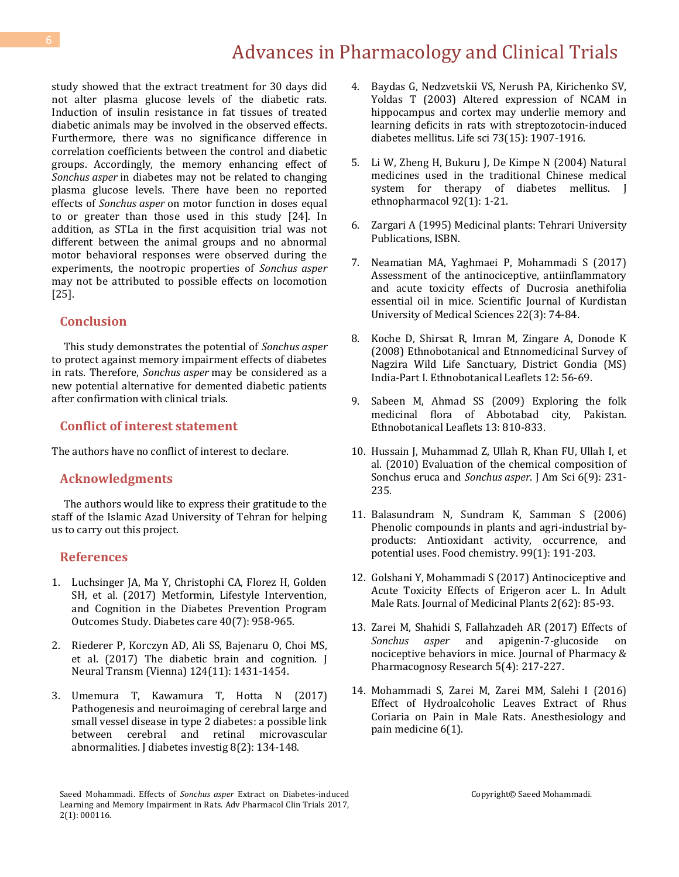study showed that the extract treatment for 30 days did not alter plasma glucose levels of the diabetic rats. Induction of insulin resistance in fat tissues of treated diabetic animals may be involved in the observed effects. Furthermore, there was no significance difference in correlation coefficients between the control and diabetic groups. Accordingly, the memory enhancing effect of *Sonchus asper* in diabetes may not be related to changing plasma glucose levels. There have been no reported effects of *Sonchus asper* on motor function in doses equal to or greater than those used in this study [24]. In addition, as STLa in the first acquisition trial was not different between the animal groups and no abnormal motor behavioral responses were observed during the experiments, the nootropic properties of *Sonchus asper*  may not be attributed to possible effects on locomotion [25].

#### **Conclusion**

 This study demonstrates the potential of *Sonchus asper*  to protect against memory impairment effects of diabetes in rats. Therefore, *Sonchus asper* may be considered as a new potential alternative for demented diabetic patients after confirmation with clinical trials.

### **Conflict of interest statement**

The authors have no conflict of interest to declare.

#### **Acknowledgments**

 The authors would like to express their gratitude to the staff of the Islamic Azad University of Tehran for helping us to carry out this project.

### **References**

- 1. [Luchsinger JA, Ma Y, Christophi CA, Florez H, Golden](https://www.ncbi.nlm.nih.gov/pubmed/28500216)  [SH, et al. \(2017\) Metformin, Lifestyle Intervention,](https://www.ncbi.nlm.nih.gov/pubmed/28500216)  [and Cognition in the Diabetes Prevention Program](https://www.ncbi.nlm.nih.gov/pubmed/28500216)  [Outcomes Study. Diabetes care 40\(7\): 958-965.](https://www.ncbi.nlm.nih.gov/pubmed/28500216)
- 2. [Riederer P, Korczyn AD, Ali SS, Bajenaru O, Choi MS,](https://www.ncbi.nlm.nih.gov/pubmed/28766040)  [et al. \(2017\) The diabetic brain and cognition. J](https://www.ncbi.nlm.nih.gov/pubmed/28766040)  [Neural Transm \(Vienna\) 124\(11\): 1431-1454.](https://www.ncbi.nlm.nih.gov/pubmed/28766040)
- 3. [Umemura T, Kawamura T, Hotta N](https://www.ncbi.nlm.nih.gov/pmc/articles/PMC5334292/) (2017) [Pathogenesis and neuroimaging of cerebral large and](https://www.ncbi.nlm.nih.gov/pmc/articles/PMC5334292/)  [small vessel disease in type 2 diabetes: a possible link](https://www.ncbi.nlm.nih.gov/pmc/articles/PMC5334292/)  [between cerebral and retinal microvascular](https://www.ncbi.nlm.nih.gov/pmc/articles/PMC5334292/)  [abnormalities. J diabetes investig 8\(2\): 134-148.](https://www.ncbi.nlm.nih.gov/pmc/articles/PMC5334292/)
- 4. [Baydas G, Nedzvetskii VS, Nerush PA, Kirichenko SV,](https://www.ncbi.nlm.nih.gov/pubmed/12899916)  [Yoldas T \(2003\) Altered expression of NCAM in](https://www.ncbi.nlm.nih.gov/pubmed/12899916)  [hippocampus and cortex may underlie memory and](https://www.ncbi.nlm.nih.gov/pubmed/12899916)  [learning deficits in rats with streptozotocin-induced](https://www.ncbi.nlm.nih.gov/pubmed/12899916)  [diabetes mellitus. Life sci 73\(15\): 1907-1916.](https://www.ncbi.nlm.nih.gov/pubmed/12899916)
- 5. [Li W, Zheng H, Bukuru J, De Kimpe N \(2004\) Natural](https://www.ncbi.nlm.nih.gov/pubmed/15099842)  [medicines used in the traditional Chinese medical](https://www.ncbi.nlm.nih.gov/pubmed/15099842)  [system for therapy of diabetes mellitus. J](https://www.ncbi.nlm.nih.gov/pubmed/15099842)  [ethnopharmacol 92\(1\): 1-21.](https://www.ncbi.nlm.nih.gov/pubmed/15099842)
- 6. Zargari A (1995) Medicinal plants: Tehrari University Publications, ISBN.
- 7. [Neamatian MA, Yaghmaei P, Mohammadi S \(2017\)](http://sjku.muk.ac.ir/browse.php?a_id=3271&slc_lang=en&sid=1&printcase=1&hbnr=1&hmb=1)  [Assessment of the antinociceptive, antiinflammatory](http://sjku.muk.ac.ir/browse.php?a_id=3271&slc_lang=en&sid=1&printcase=1&hbnr=1&hmb=1)  [and acute toxicity effects of Ducrosia anethifolia](http://sjku.muk.ac.ir/browse.php?a_id=3271&slc_lang=en&sid=1&printcase=1&hbnr=1&hmb=1)  [essential oil in mice. Scientific Journal of Kurdistan](http://sjku.muk.ac.ir/browse.php?a_id=3271&slc_lang=en&sid=1&printcase=1&hbnr=1&hmb=1)  [University of Medical Sciences 22\(3\): 74-84.](http://sjku.muk.ac.ir/browse.php?a_id=3271&slc_lang=en&sid=1&printcase=1&hbnr=1&hmb=1)
- 8. [Koche D, Shirsat R, Imran](http://opensiuc.lib.siu.edu/cgi/viewcontent.cgi?article=1042&context=ebl) M, Zingare A, Donode K [\(2008\) Ethnobotanical and Etnnomedicinal Survey of](http://opensiuc.lib.siu.edu/cgi/viewcontent.cgi?article=1042&context=ebl)  [Nagzira Wild Life Sanctuary, District Gondia \(MS\)](http://opensiuc.lib.siu.edu/cgi/viewcontent.cgi?article=1042&context=ebl)  [India-Part I. Ethnobotanical Leaflets 12: 56-69.](http://opensiuc.lib.siu.edu/cgi/viewcontent.cgi?article=1042&context=ebl)
- 9. [Sabeen M, Ahmad SS \(2009\) Exploring the folk](http://opensiuc.lib.siu.edu/cgi/viewcontent.cgi?article=1738&context=ebl)  [medicinal flora of Abbotabad city, Pakistan.](http://opensiuc.lib.siu.edu/cgi/viewcontent.cgi?article=1738&context=ebl)  [Ethnobotanical Leaflets 13: 810-833.](http://opensiuc.lib.siu.edu/cgi/viewcontent.cgi?article=1738&context=ebl)
- 10. [Hussain J, Muhammad Z, Ullah R, Khan FU, Ullah I, et](http://www.jofamericanscience.org/journals/am-sci/am0609/26_2293_am0609_231_235.pdf)  [al. \(2010\) Evaluation of the chemical composition of](http://www.jofamericanscience.org/journals/am-sci/am0609/26_2293_am0609_231_235.pdf)  Sonchus eruca and *Sonchus asper*[. J Am Sci 6\(9\): 231-](http://www.jofamericanscience.org/journals/am-sci/am0609/26_2293_am0609_231_235.pdf) [235.](http://www.jofamericanscience.org/journals/am-sci/am0609/26_2293_am0609_231_235.pdf)
- 11. [Balasundram N, Sundram K, Samman S \(2006\)](http://europepmc.org/abstract/AGR/IND43868622)  [Phenolic compounds in plants and agri-industrial by](http://europepmc.org/abstract/AGR/IND43868622)[products: Antioxidant activity, occurrence, and](http://europepmc.org/abstract/AGR/IND43868622)  [potential uses. Food chemistry. 99\(1\): 191-203.](http://europepmc.org/abstract/AGR/IND43868622)
- 12. [Golshani Y, Mohammadi S \(2017\) Antinociceptive and](http://jmp.ir/browse.php?a_id=1733&sid=1&slc_lang=en) [Acute Toxicity Effects of Erigeron acer L. In Adult](http://jmp.ir/browse.php?a_id=1733&sid=1&slc_lang=en)  [Male Rats. Journal of Medicinal Plants 2\(62\): 85-93.](http://jmp.ir/browse.php?a_id=1733&sid=1&slc_lang=en)
- 13. [Zarei M, Shahidi S, Fallahzadeh AR \(2017\) Effects of](http://en.ahau.findplus.cn/?h=articles&db=edselc&an=edselc.2-52.0-85020740900)  *Sonchus asper* [and apigenin-7-glucoside on](http://en.ahau.findplus.cn/?h=articles&db=edselc&an=edselc.2-52.0-85020740900)  [nociceptive behaviors in mice. Journal of Pharmacy &](http://en.ahau.findplus.cn/?h=articles&db=edselc&an=edselc.2-52.0-85020740900)  [Pharmacognosy Research 5\(4\): 217-227.](http://en.ahau.findplus.cn/?h=articles&db=edselc&an=edselc.2-52.0-85020740900)
- 14. [Mohammadi S, Zarei M, Zarei MM, Salehi I \(2016\)](https://www.ncbi.nlm.nih.gov/pmc/articles/PMC4784472/)  [Effect of Hydroalcoholic Leaves Extract of Rhus](https://www.ncbi.nlm.nih.gov/pmc/articles/PMC4784472/)  [Coriaria on Pain in Male Rats. Anesthesiology and](https://www.ncbi.nlm.nih.gov/pmc/articles/PMC4784472/)  [pain medicine 6\(1\).](https://www.ncbi.nlm.nih.gov/pmc/articles/PMC4784472/)

Saeed Mohammadi. Effects of *Sonchus asper* Extract on Diabetes-induced Learning and Memory Impairment in Rats. Adv Pharmacol Clin Trials 2017, 2(1): 000116.